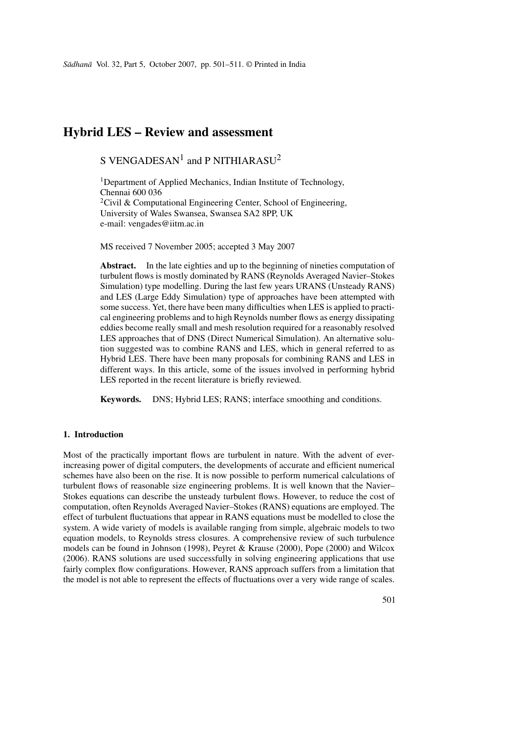# **Hybrid LES – Review and assessment**

# S VENGADESAN<sup>1</sup> and P NITHIARASU<sup>2</sup>

<sup>1</sup>Department of Applied Mechanics, Indian Institute of Technology, Chennai 600 036 <sup>2</sup>Civil & Computational Engineering Center, School of Engineering, University of Wales Swansea, Swansea SA2 8PP, UK e-mail: vengades@iitm.ac.in

MS received 7 November 2005; accepted 3 May 2007

**Abstract.** In the late eighties and up to the beginning of nineties computation of turbulent flows is mostly dominated by RANS (Reynolds Averaged Navier–Stokes Simulation) type modelling. During the last few years URANS (Unsteady RANS) and LES (Large Eddy Simulation) type of approaches have been attempted with some success. Yet, there have been many difficulties when LES is applied to practical engineering problems and to high Reynolds number flows as energy dissipating eddies become really small and mesh resolution required for a reasonably resolved LES approaches that of DNS (Direct Numerical Simulation). An alternative solution suggested was to combine RANS and LES, which in general referred to as Hybrid LES. There have been many proposals for combining RANS and LES in different ways. In this article, some of the issues involved in performing hybrid LES reported in the recent literature is briefly reviewed.

**Keywords.** DNS; Hybrid LES; RANS; interface smoothing and conditions.

## **1. Introduction**

Most of the practically important flows are turbulent in nature. With the advent of everincreasing power of digital computers, the developments of accurate and efficient numerical schemes have also been on the rise. It is now possible to perform numerical calculations of turbulent flows of reasonable size engineering problems. It is well known that the Navier– Stokes equations can describe the unsteady turbulent flows. However, to reduce the cost of computation, often Reynolds Averaged Navier–Stokes (RANS) equations are employed. The effect of turbulent fluctuations that appear in RANS equations must be modelled to close the system. A wide variety of models is available ranging from simple, algebraic models to two equation models, to Reynolds stress closures. A comprehensive review of such turbulence models can be found in Johnson (1998), Peyret & Krause (2000), Pope (2000) and Wilcox (2006). RANS solutions are used successfully in solving engineering applications that use fairly complex flow configurations. However, RANS approach suffers from a limitation that the model is not able to represent the effects of fluctuations over a very wide range of scales.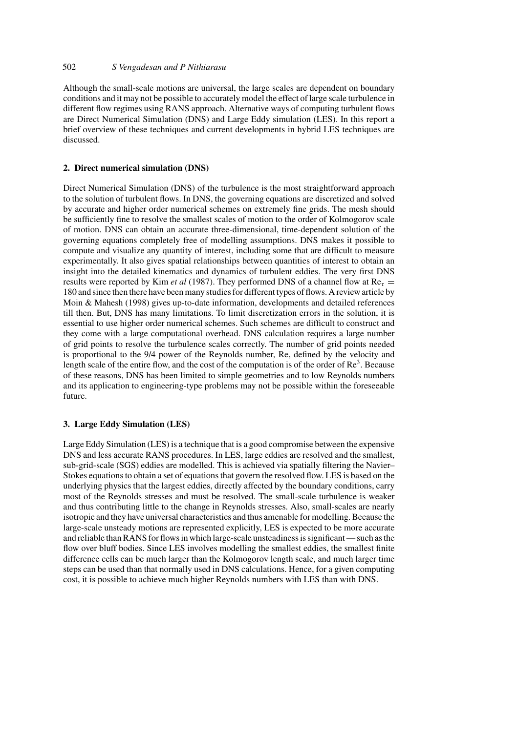# 502 *S Vengadesan and P Nithiarasu*

Although the small-scale motions are universal, the large scales are dependent on boundary conditions and it may not be possible to accurately model the effect of large scale turbulence in different flow regimes using RANS approach. Alternative ways of computing turbulent flows are Direct Numerical Simulation (DNS) and Large Eddy simulation (LES). In this report a brief overview of these techniques and current developments in hybrid LES techniques are discussed.

## **2. Direct numerical simulation (DNS)**

Direct Numerical Simulation (DNS) of the turbulence is the most straightforward approach to the solution of turbulent flows. In DNS, the governing equations are discretized and solved by accurate and higher order numerical schemes on extremely fine grids. The mesh should be sufficiently fine to resolve the smallest scales of motion to the order of Kolmogorov scale of motion. DNS can obtain an accurate three-dimensional, time-dependent solution of the governing equations completely free of modelling assumptions. DNS makes it possible to compute and visualize any quantity of interest, including some that are difficult to measure experimentally. It also gives spatial relationships between quantities of interest to obtain an insight into the detailed kinematics and dynamics of turbulent eddies. The very first DNS results were reported by Kim *et al* (1987). They performed DNS of a channel flow at  $Re<sub>\tau</sub>$  = 180 and since then there have been many studies for different types of flows. A review article by Moin & Mahesh (1998) gives up-to-date information, developments and detailed references till then. But, DNS has many limitations. To limit discretization errors in the solution, it is essential to use higher order numerical schemes. Such schemes are difficult to construct and they come with a large computational overhead. DNS calculation requires a large number of grid points to resolve the turbulence scales correctly. The number of grid points needed is proportional to the 9/4 power of the Reynolds number, Re, defined by the velocity and length scale of the entire flow, and the cost of the computation is of the order of  $\text{Re}^3$ . Because of these reasons, DNS has been limited to simple geometries and to low Reynolds numbers and its application to engineering-type problems may not be possible within the foreseeable future.

# **3. Large Eddy Simulation (LES)**

Large Eddy Simulation (LES) is a technique that is a good compromise between the expensive DNS and less accurate RANS procedures. In LES, large eddies are resolved and the smallest, sub-grid-scale (SGS) eddies are modelled. This is achieved via spatially filtering the Navier– Stokes equations to obtain a set of equations that govern the resolved flow. LES is based on the underlying physics that the largest eddies, directly affected by the boundary conditions, carry most of the Reynolds stresses and must be resolved. The small-scale turbulence is weaker and thus contributing little to the change in Reynolds stresses. Also, small-scales are nearly isotropic and they have universal characteristics and thus amenable for modelling. Because the large-scale unsteady motions are represented explicitly, LES is expected to be more accurate and reliable than RANS for flows in which large-scale unsteadiness is significant — such as the flow over bluff bodies. Since LES involves modelling the smallest eddies, the smallest finite difference cells can be much larger than the Kolmogorov length scale, and much larger time steps can be used than that normally used in DNS calculations. Hence, for a given computing cost, it is possible to achieve much higher Reynolds numbers with LES than with DNS.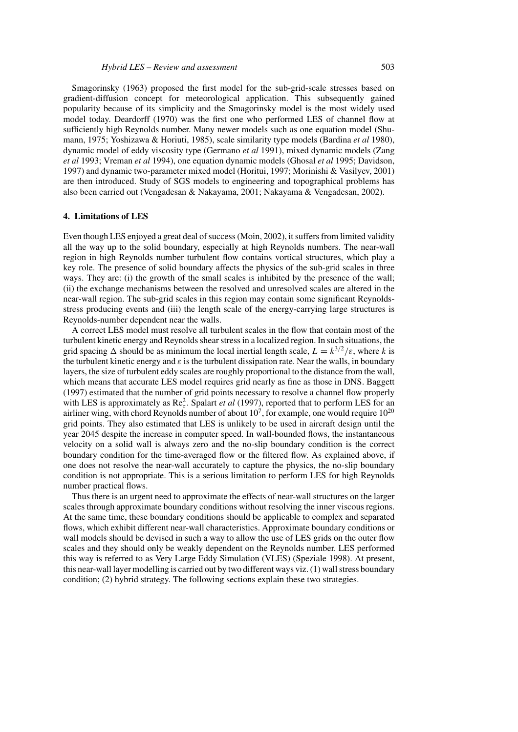Smagorinsky (1963) proposed the first model for the sub-grid-scale stresses based on gradient-diffusion concept for meteorological application. This subsequently gained popularity because of its simplicity and the Smagorinsky model is the most widely used model today. Deardorff (1970) was the first one who performed LES of channel flow at sufficiently high Reynolds number. Many newer models such as one equation model (Shumann, 1975; Yoshizawa & Horiuti, 1985), scale similarity type models (Bardina *et al* 1980), dynamic model of eddy viscosity type (Germano *et al* 1991), mixed dynamic models (Zang *et al* 1993; Vreman *et al* 1994), one equation dynamic models (Ghosal *et al* 1995; Davidson, 1997) and dynamic two-parameter mixed model (Horitui, 1997; Morinishi & Vasilyev, 2001) are then introduced. Study of SGS models to engineering and topographical problems has also been carried out (Vengadesan & Nakayama, 2001; Nakayama & Vengadesan, 2002).

## **4. Limitations of LES**

Even though LES enjoyed a great deal of success (Moin, 2002), it suffers from limited validity all the way up to the solid boundary, especially at high Reynolds numbers. The near-wall region in high Reynolds number turbulent flow contains vortical structures, which play a key role. The presence of solid boundary affects the physics of the sub-grid scales in three ways. They are: (i) the growth of the small scales is inhibited by the presence of the wall; (ii) the exchange mechanisms between the resolved and unresolved scales are altered in the near-wall region. The sub-grid scales in this region may contain some significant Reynoldsstress producing events and (iii) the length scale of the energy-carrying large structures is Reynolds-number dependent near the walls.

A correct LES model must resolve all turbulent scales in the flow that contain most of the turbulent kinetic energy and Reynolds shear stress in a localized region. In such situations, the grid spacing  $\Delta$  should be as minimum the local inertial length scale,  $L = k^{3/2}/\varepsilon$ , where *k* is the turbulent kinetic energy and  $\varepsilon$  is the turbulent dissipation rate. Near the walls, in boundary layers, the size of turbulent eddy scales are roughly proportional to the distance from the wall, which means that accurate LES model requires grid nearly as fine as those in DNS. Baggett (1997) estimated that the number of grid points necessary to resolve a channel flow properly with LES is approximately as  $\text{Re}^2_{\tau}$ . Spalart *et al* (1997), reported that to perform LES for an airliner wing, with chord Reynolds number of about  $10<sup>7</sup>$ , for example, one would require  $10<sup>20</sup>$ grid points. They also estimated that LES is unlikely to be used in aircraft design until the year 2045 despite the increase in computer speed. In wall-bounded flows, the instantaneous velocity on a solid wall is always zero and the no-slip boundary condition is the correct boundary condition for the time-averaged flow or the filtered flow. As explained above, if one does not resolve the near-wall accurately to capture the physics, the no-slip boundary condition is not appropriate. This is a serious limitation to perform LES for high Reynolds number practical flows.

Thus there is an urgent need to approximate the effects of near-wall structures on the larger scales through approximate boundary conditions without resolving the inner viscous regions. At the same time, these boundary conditions should be applicable to complex and separated flows, which exhibit different near-wall characteristics. Approximate boundary conditions or wall models should be devised in such a way to allow the use of LES grids on the outer flow scales and they should only be weakly dependent on the Reynolds number. LES performed this way is referred to as Very Large Eddy Simulation (VLES) (Speziale 1998). At present, this near-wall layer modelling is carried out by two different ways viz. (1) wall stress boundary condition; (2) hybrid strategy. The following sections explain these two strategies.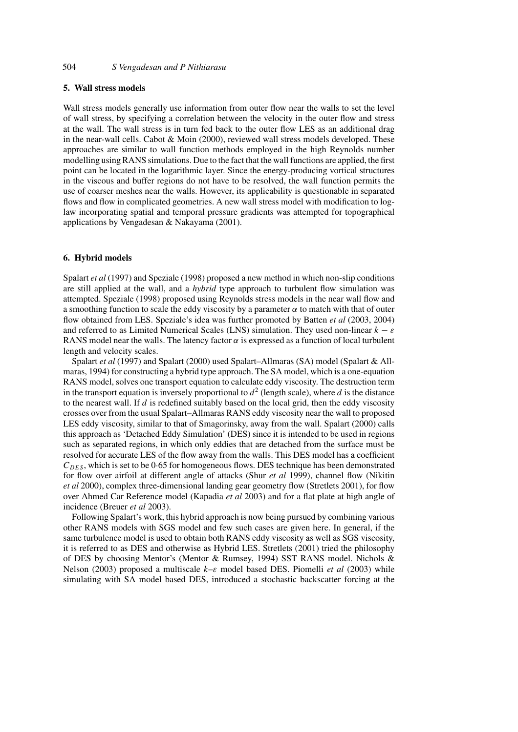## 504 *S Vengadesan and P Nithiarasu*

#### **5. Wall stress models**

Wall stress models generally use information from outer flow near the walls to set the level of wall stress, by specifying a correlation between the velocity in the outer flow and stress at the wall. The wall stress is in turn fed back to the outer flow LES as an additional drag in the near-wall cells. Cabot & Moin (2000), reviewed wall stress models developed. These approaches are similar to wall function methods employed in the high Reynolds number modelling using RANS simulations. Due to the fact that the wall functions are applied, the first point can be located in the logarithmic layer. Since the energy-producing vortical structures in the viscous and buffer regions do not have to be resolved, the wall function permits the use of coarser meshes near the walls. However, its applicability is questionable in separated flows and flow in complicated geometries. A new wall stress model with modification to loglaw incorporating spatial and temporal pressure gradients was attempted for topographical applications by Vengadesan & Nakayama (2001).

#### **6. Hybrid models**

Spalart *et al* (1997) and Speziale (1998) proposed a new method in which non-slip conditions are still applied at the wall, and a *hybrid* type approach to turbulent flow simulation was attempted. Speziale (1998) proposed using Reynolds stress models in the near wall flow and a smoothing function to scale the eddy viscosity by a parameter  $\alpha$  to match with that of outer flow obtained from LES. Speziale's idea was further promoted by Batten *et al* (2003, 2004) and referred to as Limited Numerical Scales (LNS) simulation. They used non-linear  $k - \varepsilon$ RANS model near the walls. The latency factor  $\alpha$  is expressed as a function of local turbulent length and velocity scales.

Spalart *et al* (1997) and Spalart (2000) used Spalart–Allmaras (SA) model (Spalart & Allmaras, 1994) for constructing a hybrid type approach. The SA model, which is a one-equation RANS model, solves one transport equation to calculate eddy viscosity. The destruction term in the transport equation is inversely proportional to  $d^2$  (length scale), where *d* is the distance to the nearest wall. If *d* is redefined suitably based on the local grid, then the eddy viscosity crosses over from the usual Spalart–Allmaras RANS eddy viscosity near the wall to proposed LES eddy viscosity, similar to that of Smagorinsky, away from the wall. Spalart (2000) calls this approach as 'Detached Eddy Simulation' (DES) since it is intended to be used in regions such as separated regions, in which only eddies that are detached from the surface must be resolved for accurate LES of the flow away from the walls. This DES model has a coefficient  $C_{DES}$ , which is set to be 0.65 for homogeneous flows. DES technique has been demonstrated for flow over airfoil at different angle of attacks (Shur *et al* 1999), channel flow (Nikitin *et al* 2000), complex three-dimensional landing gear geometry flow (Stretlets 2001), for flow over Ahmed Car Reference model (Kapadia *et al* 2003) and for a flat plate at high angle of incidence (Breuer *et al* 2003).

Following Spalart's work, this hybrid approach is now being pursued by combining various other RANS models with SGS model and few such cases are given here. In general, if the same turbulence model is used to obtain both RANS eddy viscosity as well as SGS viscosity, it is referred to as DES and otherwise as Hybrid LES. Stretlets (2001) tried the philosophy of DES by choosing Mentor's (Mentor & Rumsey, 1994) SST RANS model. Nichols & Nelson (2003) proposed a multiscale *k*–*ε* model based DES. Piomelli *et al* (2003) while simulating with SA model based DES, introduced a stochastic backscatter forcing at the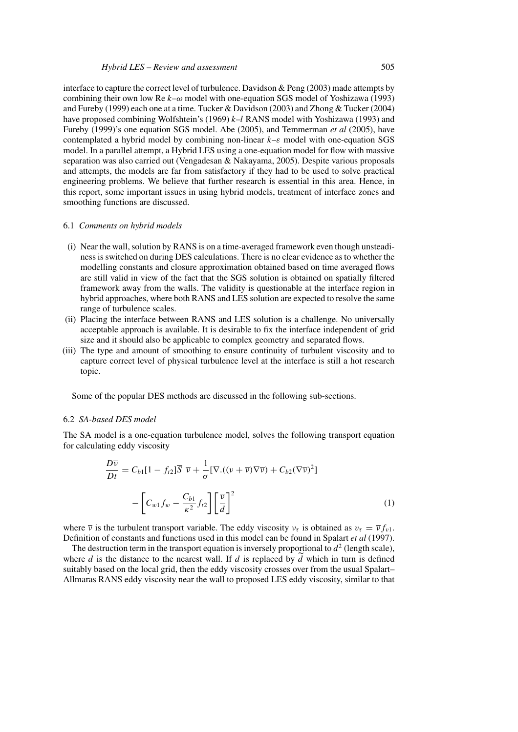interface to capture the correct level of turbulence. Davidson & Peng (2003) made attempts by combining their own low Re *k*–*ω* model with one-equation SGS model of Yoshizawa (1993) and Fureby (1999) each one at a time. Tucker & Davidson (2003) and Zhong & Tucker (2004) have proposed combining Wolfshtein's (1969) *k*–*l* RANS model with Yoshizawa (1993) and Fureby (1999)'s one equation SGS model. Abe (2005), and Temmerman *et al* (2005), have contemplated a hybrid model by combining non-linear *k*–*ε* model with one-equation SGS model. In a parallel attempt, a Hybrid LES using a one-equation model for flow with massive separation was also carried out (Vengadesan & Nakayama, 2005). Despite various proposals and attempts, the models are far from satisfactory if they had to be used to solve practical engineering problems. We believe that further research is essential in this area. Hence, in this report, some important issues in using hybrid models, treatment of interface zones and smoothing functions are discussed.

#### 6.1 *Comments on hybrid models*

- (i) Near the wall, solution by RANS is on a time-averaged framework even though unsteadiness is switched on during DES calculations. There is no clear evidence as to whether the modelling constants and closure approximation obtained based on time averaged flows are still valid in view of the fact that the SGS solution is obtained on spatially filtered framework away from the walls. The validity is questionable at the interface region in hybrid approaches, where both RANS and LES solution are expected to resolve the same range of turbulence scales.
- (ii) Placing the interface between RANS and LES solution is a challenge. No universally acceptable approach is available. It is desirable to fix the interface independent of grid size and it should also be applicable to complex geometry and separated flows.
- (iii) The type and amount of smoothing to ensure continuity of turbulent viscosity and to capture correct level of physical turbulence level at the interface is still a hot research topic.

Some of the popular DES methods are discussed in the following sub-sections.

#### 6.2 *SA-based DES model*

The SA model is a one-equation turbulence model, solves the following transport equation for calculating eddy viscosity

$$
\frac{D\overline{v}}{Dt} = C_{b1}[1 - f_{t2}]\overline{S} \ \overline{v} + \frac{1}{\sigma}[\nabla \cdot ((v + \overline{v})\nabla \overline{v}) + C_{b2}(\nabla \overline{v})^2]
$$

$$
- \left[C_{w1}f_w - \frac{C_{b1}}{\kappa^2}f_{t2}\right] \left[\frac{\overline{v}}{d}\right]^2 \tag{1}
$$

where  $\bar{v}$  is the turbulent transport variable. The eddy viscosity  $v_{\tau}$  is obtained as  $v_{\tau} = \bar{v} f_{v1}$ . Definition of constants and functions used in this model can be found in Spalart *et al* (1997).

The destruction term in the transport equation is inversely proportional to  $d^2$  (length scale), where *d* is the distance to the nearest wall. If *d* is replaced by  $\tilde{d}$  which in turn is defined suitably based on the local grid, then the eddy viscosity crosses over from the usual Spalart– Allmaras RANS eddy viscosity near the wall to proposed LES eddy viscosity, similar to that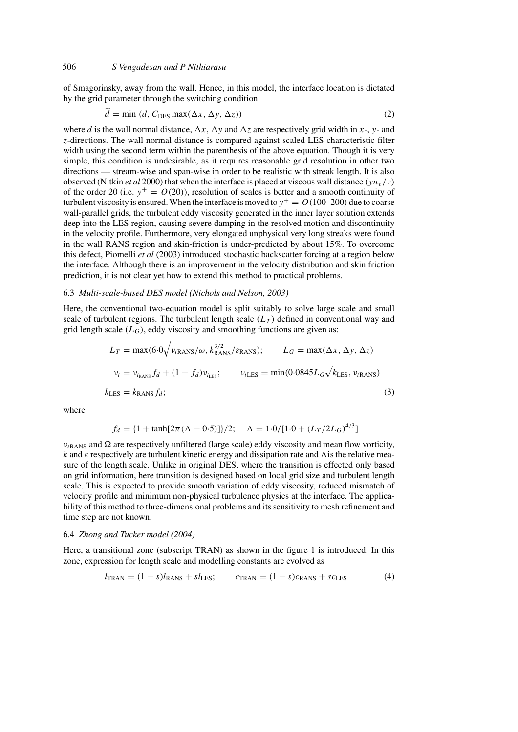of Smagorinsky, away from the wall. Hence, in this model, the interface location is dictated by the grid parameter through the switching condition

$$
\tilde{d} = \min (d, C_{\text{DES}} \max(\Delta x, \Delta y, \Delta z))
$$
\n(2)

where *d* is the wall normal distance,  $\Delta x$ ,  $\Delta y$  and  $\Delta z$  are respectively grid width in *x*-, *y*- and *z*-directions. The wall normal distance is compared against scaled LES characteristic filter width using the second term within the parenthesis of the above equation. Though it is very simple, this condition is undesirable, as it requires reasonable grid resolution in other two directions — stream-wise and span-wise in order to be realistic with streak length. It is also observed (Nitkin *et al* 2000) that when the interface is placed at viscous wall distance *(yuτ /ν)* of the order 20 (i.e.  $y^+ = O(20)$ ), resolution of scales is better and a smooth continuity of turbulent viscosity is ensured. When the interface is moved to  $y^+ = O(100-200)$  due to coarse wall-parallel grids, the turbulent eddy viscosity generated in the inner layer solution extends deep into the LES region, causing severe damping in the resolved motion and discontinuity in the velocity profile. Furthermore, very elongated unphysical very long streaks were found in the wall RANS region and skin-friction is under-predicted by about 15%. To overcome this defect, Piomelli *et al* (2003) introduced stochastic backscatter forcing at a region below the interface. Although there is an improvement in the velocity distribution and skin friction prediction, it is not clear yet how to extend this method to practical problems.

#### 6.3 *Multi-scale-based DES model (Nichols and Nelson, 2003)*

Here, the conventional two-equation model is split suitably to solve large scale and small scale of turbulent regions. The turbulent length scale  $(L_T)$  defined in conventional way and grid length scale  $(L_G)$ , eddy viscosity and smoothing functions are given as:

$$
L_T = \max(6.0\sqrt{\nu_{tRANS}}/\omega, k_{RANS}^{3/2}/\varepsilon_{RANS}); \qquad L_G = \max(\Delta x, \Delta y, \Delta z)
$$

$$
\nu_t = \nu_{tRANS} f_d + (1 - f_d)\nu_{t_{LES}}; \qquad \nu_{tLES} = \min(0.0845L_G\sqrt{k_{LES}}, \nu_{tRANS})
$$

$$
k_{LES} = k_{RANS} f_d; \qquad (3)
$$

where

$$
f_d = \{1 + \tanh[2\pi(\Lambda - 0.5)]\}/2; \quad \Lambda = 1.0/[1.0 + (L_T/2L_G)^{4/3}]
$$

 $v_{RANS}$  and  $\Omega$  are respectively unfiltered (large scale) eddy viscosity and mean flow vorticity,  $k$  and  $\varepsilon$  respectively are turbulent kinetic energy and dissipation rate and  $\Lambda$  is the relative measure of the length scale. Unlike in original DES, where the transition is effected only based on grid information, here transition is designed based on local grid size and turbulent length scale. This is expected to provide smooth variation of eddy viscosity, reduced mismatch of velocity profile and minimum non-physical turbulence physics at the interface. The applicability of this method to three-dimensional problems and its sensitivity to mesh refinement and time step are not known.

## 6.4 *Zhong and Tucker model (2004)*

Here, a transitional zone (subscript TRAN) as shown in the figure 1 is introduced. In this zone, expression for length scale and modelling constants are evolved as

$$
l_{\text{TRAN}} = (1 - s)l_{\text{RANS}} + s l_{\text{LES}}; \qquad c_{\text{TRAN}} = (1 - s)c_{\text{RANS}} + s c_{\text{LES}} \tag{4}
$$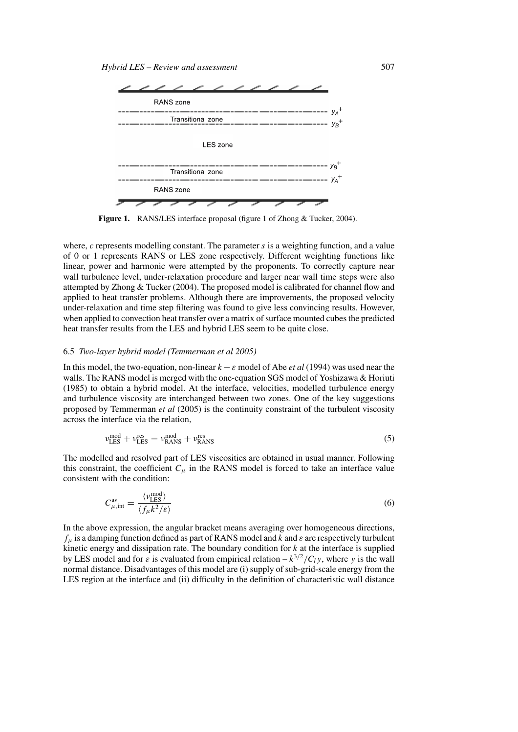

Figure 1. RANS/LES interface proposal (figure 1 of Zhong & Tucker, 2004).

where, *c* represents modelling constant. The parameter *s* is a weighting function, and a value of 0 or 1 represents RANS or LES zone respectively. Different weighting functions like linear, power and harmonic were attempted by the proponents. To correctly capture near wall turbulence level, under-relaxation procedure and larger near wall time steps were also attempted by Zhong & Tucker (2004). The proposed model is calibrated for channel flow and applied to heat transfer problems. Although there are improvements, the proposed velocity under-relaxation and time step filtering was found to give less convincing results. However, when applied to convection heat transfer over a matrix of surface mounted cubes the predicted heat transfer results from the LES and hybrid LES seem to be quite close.

#### 6.5 *Two-layer hybrid model (Temmerman et al 2005)*

In this model, the two-equation, non-linear  $k - \varepsilon$  model of Abe *et al* (1994) was used near the walls. The RANS model is merged with the one-equation SGS model of Yoshizawa & Horiuti (1985) to obtain a hybrid model. At the interface, velocities, modelled turbulence energy and turbulence viscosity are interchanged between two zones. One of the key suggestions proposed by Temmerman *et al* (2005) is the continuity constraint of the turbulent viscosity across the interface via the relation,

$$
\nu_{\rm LES}^{\rm mod} + \nu_{\rm LES}^{\rm res} = \nu_{\rm RANS}^{\rm mod} + \nu_{\rm RANS}^{\rm res} \tag{5}
$$

The modelled and resolved part of LES viscosities are obtained in usual manner. Following this constraint, the coefficient  $C_{\mu}$  in the RANS model is forced to take an interface value consistent with the condition:

$$
C_{\mu, \text{int}}^{\text{av}} = \frac{\langle \nu_{\text{LES}}^{\text{mod}} \rangle}{\langle f_{\mu} k^2 / \varepsilon \rangle} \tag{6}
$$

In the above expression, the angular bracket means averaging over homogeneous directions,  $f_\mu$  is a damping function defined as part of RANS model and *k* and *ε* are respectively turbulent kinetic energy and dissipation rate. The boundary condition for  $k$  at the interface is supplied by LES model and for  $\varepsilon$  is evaluated from empirical relation  $-k^{3/2}/C_l$ *y*, where *y* is the wall normal distance. Disadvantages of this model are (i) supply of sub-grid-scale energy from the LES region at the interface and (ii) difficulty in the definition of characteristic wall distance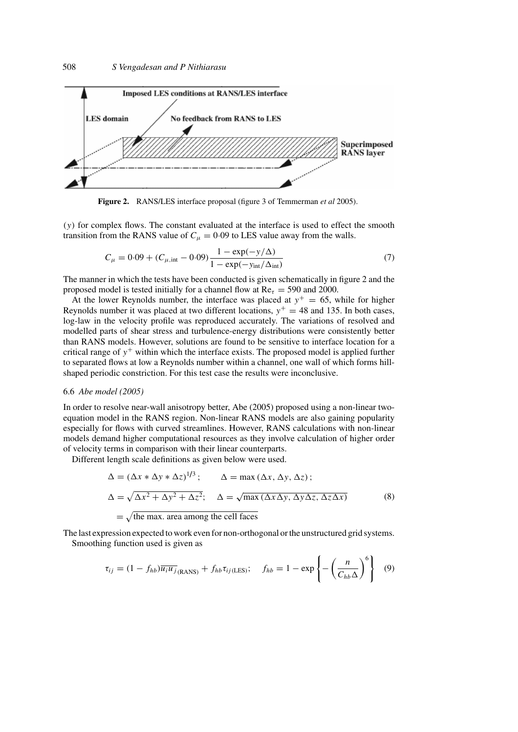

**Figure 2.** RANS/LES interface proposal (figure 3 of Temmerman *et al* 2005).

*(y)* for complex flows. The constant evaluated at the interface is used to effect the smooth transition from the RANS value of  $C_{\mu} = 0.09$  to LES value away from the walls.

$$
C_{\mu} = 0.09 + (C_{\mu, \text{int}} - 0.09) \frac{1 - \exp(-y/\Delta)}{1 - \exp(-y_{\text{int}}/\Delta_{\text{int}})}
$$
(7)

The manner in which the tests have been conducted is given schematically in figure 2 and the proposed model is tested initially for a channel flow at  $Re<sub>\tau</sub> = 590$  and 2000.

At the lower Reynolds number, the interface was placed at  $y^+= 65$ , while for higher Reynolds number it was placed at two different locations,  $y^+ = 48$  and 135. In both cases, log-law in the velocity profile was reproduced accurately. The variations of resolved and modelled parts of shear stress and turbulence-energy distributions were consistently better than RANS models. However, solutions are found to be sensitive to interface location for a critical range of  $y^+$  within which the interface exists. The proposed model is applied further to separated flows at low a Reynolds number within a channel, one wall of which forms hillshaped periodic constriction. For this test case the results were inconclusive.

## 6.6 *Abe model (2005)*

In order to resolve near-wall anisotropy better, Abe (2005) proposed using a non-linear twoequation model in the RANS region. Non-linear RANS models are also gaining popularity especially for flows with curved streamlines. However, RANS calculations with non-linear models demand higher computational resources as they involve calculation of higher order of velocity terms in comparison with their linear counterparts.

Different length scale definitions as given below were used.

$$
\Delta = (\Delta x * \Delta y * \Delta z)^{1/3}; \qquad \Delta = \max (\Delta x, \Delta y, \Delta z);
$$
  

$$
\Delta = \sqrt{\Delta x^2 + \Delta y^2 + \Delta z^2}; \qquad \Delta = \sqrt{\max (\Delta x \Delta y, \Delta y \Delta z, \Delta z \Delta x)}
$$
(8)  

$$
= \sqrt{\text{the max. area among the cell faces}}
$$

The last expression expected to work even for non-orthogonal or the unstructured grid systems. Smoothing function used is given as

$$
\tau_{ij} = (1 - f_{hb})\overline{u_i u_j}_{(RANS)} + f_{hb}\tau_{ij(LES)}; \quad f_{hb} = 1 - \exp\left\{-\left(\frac{n}{C_{hb}\Delta}\right)^6\right\} \quad (9)
$$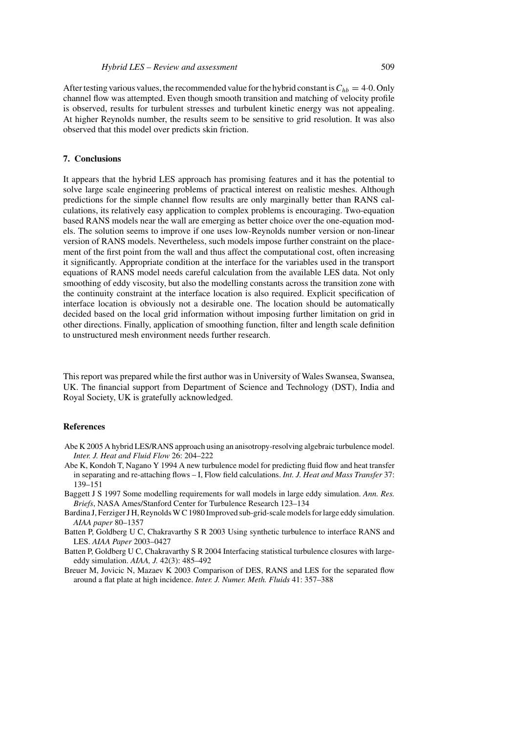After testing various values, the recommended value for the hybrid constant is  $C_{hb} = 4.0$ . Only channel flow was attempted. Even though smooth transition and matching of velocity profile is observed, results for turbulent stresses and turbulent kinetic energy was not appealing. At higher Reynolds number, the results seem to be sensitive to grid resolution. It was also observed that this model over predicts skin friction.

## **7. Conclusions**

It appears that the hybrid LES approach has promising features and it has the potential to solve large scale engineering problems of practical interest on realistic meshes. Although predictions for the simple channel flow results are only marginally better than RANS calculations, its relatively easy application to complex problems is encouraging. Two-equation based RANS models near the wall are emerging as better choice over the one-equation models. The solution seems to improve if one uses low-Reynolds number version or non-linear version of RANS models. Nevertheless, such models impose further constraint on the placement of the first point from the wall and thus affect the computational cost, often increasing it significantly. Appropriate condition at the interface for the variables used in the transport equations of RANS model needs careful calculation from the available LES data. Not only smoothing of eddy viscosity, but also the modelling constants across the transition zone with the continuity constraint at the interface location is also required. Explicit specification of interface location is obviously not a desirable one. The location should be automatically decided based on the local grid information without imposing further limitation on grid in other directions. Finally, application of smoothing function, filter and length scale definition to unstructured mesh environment needs further research.

This report was prepared while the first author was in University of Wales Swansea, Swansea, UK. The financial support from Department of Science and Technology (DST), India and Royal Society, UK is gratefully acknowledged.

### **References**

- Abe K 2005 A hybrid LES/RANS approach using an anisotropy-resolving algebraic turbulence model. *Inter. J. Heat and Fluid Flow* 26: 204–222
- Abe K, Kondoh T, Nagano Y 1994 A new turbulence model for predicting fluid flow and heat transfer in separating and re-attaching flows – I, Flow field calculations. *Int. J. Heat and Mass Transfer* 37: 139–151
- Baggett J S 1997 Some modelling requirements for wall models in large eddy simulation. *Ann. Res. Briefs*, NASA Ames/Stanford Center for Turbulence Research 123–134
- Bardina J, Ferziger J H, Reynolds W C 1980 Improved sub-grid-scale models for large eddy simulation. *AIAA paper* 80–1357
- Batten P, Goldberg U C, Chakravarthy S R 2003 Using synthetic turbulence to interface RANS and LES. *AIAA Paper* 2003–0427
- Batten P, Goldberg U C, Chakravarthy S R 2004 Interfacing statistical turbulence closures with largeeddy simulation. *AIAA, J.* 42(3): 485–492
- Breuer M, Jovicic N, Mazaev K 2003 Comparison of DES, RANS and LES for the separated flow around a flat plate at high incidence. *Inter. J. Numer. Meth. Fluids* 41: 357–388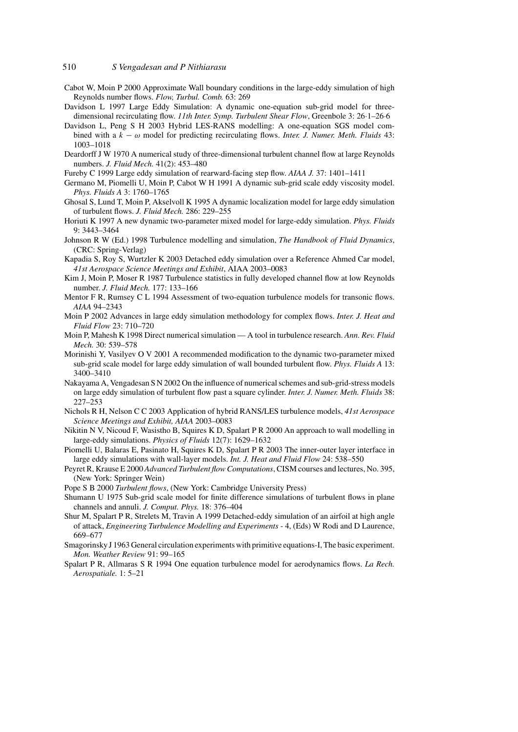- Cabot W, Moin P 2000 Approximate Wall boundary conditions in the large-eddy simulation of high Reynolds number flows. *Flow, Turbul. Comb.* 63: 269
- Davidson L 1997 Large Eddy Simulation: A dynamic one-equation sub-grid model for threedimensional recirculating flow. *11th Inter. Symp. Turbulent Shear Flow*, Greenbole 3: 26·1–26·6
- Davidson L, Peng S H 2003 Hybrid LES-RANS modelling: A one-equation SGS model combined with a  $k - \omega$  model for predicting recirculating flows. *Inter. J. Numer. Meth. Fluids* 43: 1003–1018
- Deardorff J W 1970 A numerical study of three-dimensional turbulent channel flow at large Reynolds numbers. *J. Fluid Mech.* 41(2): 453–480
- Fureby C 1999 Large eddy simulation of rearward-facing step flow. *AIAA J.* 37: 1401–1411
- Germano M, Piomelli U, Moin P, Cabot W H 1991 A dynamic sub-grid scale eddy viscosity model. *Phys. Fluids A* 3: 1760–1765
- Ghosal S, Lund T, Moin P, Akselvoll K 1995 A dynamic localization model for large eddy simulation of turbulent flows. *J. Fluid Mech.* 286: 229–255
- Horiuti K 1997 A new dynamic two-parameter mixed model for large-eddy simulation. *Phys. Fluids* 9: 3443–3464
- Johnson R W (Ed.) 1998 Turbulence modelling and simulation, *The Handbook of Fluid Dynamics*, (CRC: Spring-Verlag)
- Kapadia S, Roy S, Wurtzler K 2003 Detached eddy simulation over a Reference Ahmed Car model, *41st Aerospace Science Meetings and Exhibit*, AIAA 2003–0083
- Kim J, Moin P, Moser R 1987 Turbulence statistics in fully developed channel flow at low Reynolds number. *J. Fluid Mech.* 177: 133–166
- Mentor F R, Rumsey C L 1994 Assessment of two-equation turbulence models for transonic flows. *AIAA* 94–2343
- Moin P 2002 Advances in large eddy simulation methodology for complex flows. *Inter. J. Heat and Fluid Flow* 23: 710–720
- Moin P, Mahesh K 1998 Direct numerical simulation A tool in turbulence research. *Ann. Rev. Fluid Mech.* 30: 539–578
- Morinishi Y, Vasilyev O V 2001 A recommended modification to the dynamic two-parameter mixed sub-grid scale model for large eddy simulation of wall bounded turbulent flow. *Phys. Fluids A* 13: 3400–3410
- Nakayama A, Vengadesan S N 2002 On the influence of numerical schemes and sub-grid-stress models on large eddy simulation of turbulent flow past a square cylinder. *Inter. J. Numer. Meth. Fluids* 38: 227–253
- Nichols R H, Nelson C C 2003 Application of hybrid RANS/LES turbulence models, *41st Aerospace Science Meetings and Exhibit, AIAA* 2003–0083
- Nikitin N V, Nicoud F, Wasistho B, Squires K D, Spalart P R 2000 An approach to wall modelling in large-eddy simulations. *Physics of Fluids* 12(7): 1629–1632
- Piomelli U, Balaras E, Pasinato H, Squires K D, Spalart P R 2003 The inner-outer layer interface in large eddy simulations with wall-layer models. *Int. J. Heat and Fluid Flow* 24: 538–550
- Peyret R, Krause E 2000 *Advanced Turbulent flow Computations*, CISM courses and lectures, No. 395, (New York: Springer Wein)

Pope S B 2000 *Turbulent flows*, (New York: Cambridge University Press)

- Shumann U 1975 Sub-grid scale model for finite difference simulations of turbulent flows in plane channels and annuli. *J. Comput. Phys.* 18: 376–404
- Shur M, Spalart P R, Strelets M, Travin A 1999 Detached-eddy simulation of an airfoil at high angle of attack, *Engineering Turbulence Modelling and Experiments* - 4, (Eds) W Rodi and D Laurence, 669–677
- Smagorinsky J 1963 General circulation experiments with primitive equations-I, The basic experiment. *Mon. Weather Review* 91: 99–165
- Spalart P R, Allmaras S R 1994 One equation turbulence model for aerodynamics flows. *La Rech. Aerospatiale.* 1: 5–21